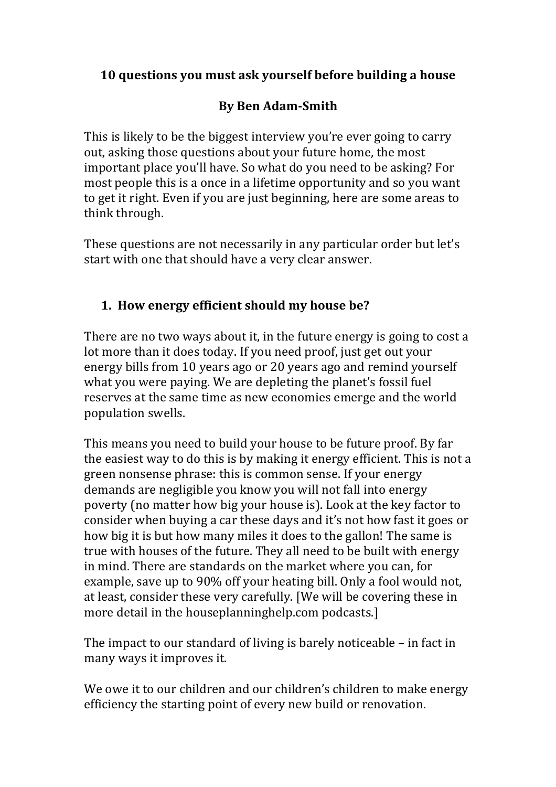### **10 questions you must ask yourself before building a house**

# **By Ben Adam-Smith**

This is likely to be the biggest interview you're ever going to carry out, asking those questions about your future home, the most important place you'll have. So what do you need to be asking? For most people this is a once in a lifetime opportunity and so you want to get it right. Even if you are just beginning, here are some areas to think through.

These questions are not necessarily in any particular order but let's start with one that should have a very clear answer.

## **1. How energy efficient should my house be?**

There are no two ways about it, in the future energy is going to cost a lot more than it does today. If you need proof, just get out your energy bills from 10 years ago or 20 years ago and remind yourself what you were paying. We are depleting the planet's fossil fuel reserves at the same time as new economies emerge and the world population swells.

This means you need to build your house to be future proof. By far the easiest way to do this is by making it energy efficient. This is not a green nonsense phrase: this is common sense. If your energy demands are negligible you know you will not fall into energy poverty (no matter how big your house is). Look at the key factor to consider when buying a car these days and it's not how fast it goes or how big it is but how many miles it does to the gallon! The same is true with houses of the future. They all need to be built with energy in mind. There are standards on the market where you can, for example, save up to 90% off your heating bill. Only a fool would not, at least, consider these very carefully. [We will be covering these in more detail in the houseplanninghelp.com podcasts.]

The impact to our standard of living is barely noticeable  $-$  in fact in many ways it improves it.

We owe it to our children and our children's children to make energy efficiency the starting point of every new build or renovation.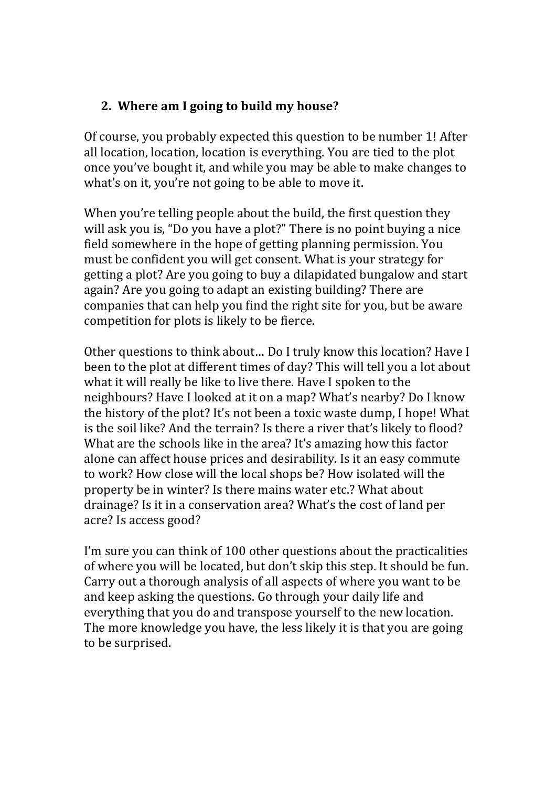## **2.** Where am I going to build my house?

Of course, you probably expected this question to be number 1! After all location, location, location is everything. You are tied to the plot once you've bought it, and while you may be able to make changes to what's on it, you're not going to be able to move it.

When you're telling people about the build, the first question they will ask you is, "Do you have a plot?" There is no point buying a nice field somewhere in the hope of getting planning permission. You must be confident you will get consent. What is your strategy for getting a plot? Are you going to buy a dilapidated bungalow and start again? Are you going to adapt an existing building? There are companies that can help you find the right site for you, but be aware competition for plots is likely to be fierce.

Other questions to think about... Do I truly know this location? Have I been to the plot at different times of day? This will tell you a lot about what it will really be like to live there. Have I spoken to the neighbours? Have I looked at it on a map? What's nearby? Do I know the history of the plot? It's not been a toxic waste dump, I hope! What is the soil like? And the terrain? Is there a river that's likely to flood? What are the schools like in the area? It's amazing how this factor alone can affect house prices and desirability. Is it an easy commute to work? How close will the local shops be? How isolated will the property be in winter? Is there mains water etc.? What about drainage? Is it in a conservation area? What's the cost of land per acre? Is access good?

I'm sure you can think of 100 other questions about the practicalities of where you will be located, but don't skip this step. It should be fun. Carry out a thorough analysis of all aspects of where you want to be and keep asking the questions. Go through your daily life and everything that you do and transpose yourself to the new location. The more knowledge you have, the less likely it is that you are going to be surprised.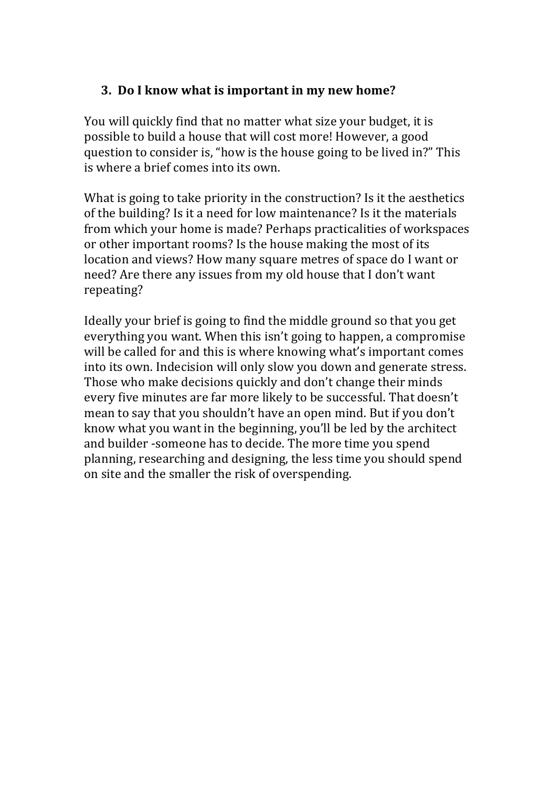#### **3.** Do I know what is important in my new home?

You will quickly find that no matter what size your budget, it is possible to build a house that will cost more! However, a good question to consider is, "how is the house going to be lived in?" This is where a brief comes into its own.

What is going to take priority in the construction? Is it the aesthetics of the building? Is it a need for low maintenance? Is it the materials from which your home is made? Perhaps practicalities of workspaces or other important rooms? Is the house making the most of its location and views? How many square metres of space do I want or need? Are there any issues from my old house that I don't want repeating?

Ideally your brief is going to find the middle ground so that you get everything you want. When this isn't going to happen, a compromise will be called for and this is where knowing what's important comes into its own. Indecision will only slow you down and generate stress. Those who make decisions quickly and don't change their minds every five minutes are far more likely to be successful. That doesn't mean to say that you shouldn't have an open mind. But if you don't know what you want in the beginning, you'll be led by the architect and builder -someone has to decide. The more time you spend planning, researching and designing, the less time you should spend on site and the smaller the risk of overspending.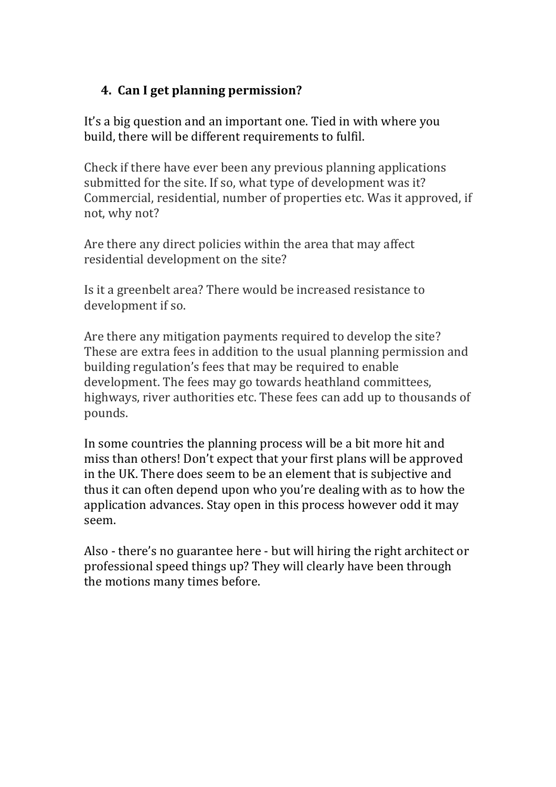# **4.** Can I get planning permission?

It's a big question and an important one. Tied in with where you build, there will be different requirements to fulfil.

Check if there have ever been any previous planning applications submitted for the site. If so, what type of development was it? Commercial, residential, number of properties etc. Was it approved, if not, why not?

Are there any direct policies within the area that may affect residential development on the site?

Is it a greenbelt area? There would be increased resistance to development if so.

Are there any mitigation payments required to develop the site? These are extra fees in addition to the usual planning permission and building regulation's fees that may be required to enable development. The fees may go towards heathland committees, highways, river authorities etc. These fees can add up to thousands of pounds.

In some countries the planning process will be a bit more hit and miss than others! Don't expect that your first plans will be approved in the UK. There does seem to be an element that is subjective and thus it can often depend upon who you're dealing with as to how the application advances. Stay open in this process however odd it may seem. 

Also - there's no guarantee here - but will hiring the right architect or professional speed things up? They will clearly have been through the motions many times before.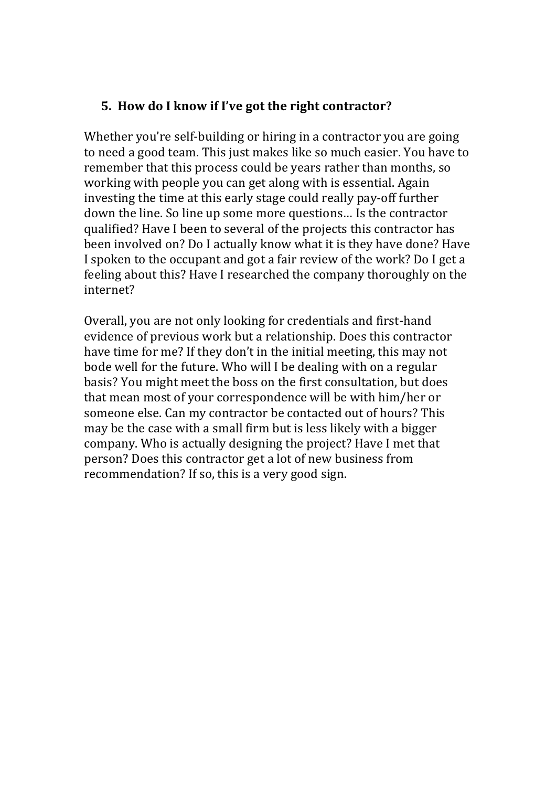#### **5.** How do I know if I've got the right contractor?

Whether you're self-building or hiring in a contractor you are going to need a good team. This just makes like so much easier. You have to remember that this process could be years rather than months, so working with people you can get along with is essential. Again investing the time at this early stage could really pay-off further down the line. So line up some more questions... Is the contractor qualified? Have I been to several of the projects this contractor has been involved on? Do I actually know what it is they have done? Have I spoken to the occupant and got a fair review of the work? Do I get a feeling about this? Have I researched the company thoroughly on the internet?

Overall, you are not only looking for credentials and first-hand evidence of previous work but a relationship. Does this contractor have time for me? If they don't in the initial meeting, this may not bode well for the future. Who will I be dealing with on a regular basis? You might meet the boss on the first consultation, but does that mean most of your correspondence will be with him/her or someone else. Can my contractor be contacted out of hours? This may be the case with a small firm but is less likely with a bigger company. Who is actually designing the project? Have I met that person? Does this contractor get a lot of new business from recommendation? If so, this is a very good sign.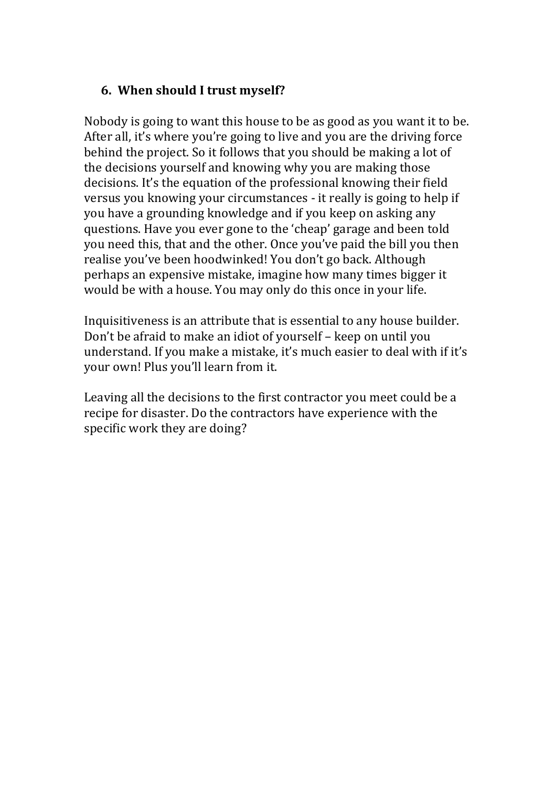#### **6. When should I trust myself?**

Nobody is going to want this house to be as good as you want it to be. After all, it's where you're going to live and you are the driving force behind the project. So it follows that you should be making a lot of the decisions yourself and knowing why you are making those decisions. It's the equation of the professional knowing their field versus you knowing your circumstances - it really is going to help if you have a grounding knowledge and if you keep on asking any questions. Have you ever gone to the 'cheap' garage and been told you need this, that and the other. Once you've paid the bill you then realise you've been hoodwinked! You don't go back. Although perhaps an expensive mistake, imagine how many times bigger it would be with a house. You may only do this once in your life.

Inquisitiveness is an attribute that is essential to any house builder. Don't be afraid to make an idiot of yourself – keep on until you understand. If you make a mistake, it's much easier to deal with if it's your own! Plus you'll learn from it.

Leaving all the decisions to the first contractor you meet could be a recipe for disaster. Do the contractors have experience with the specific work they are doing?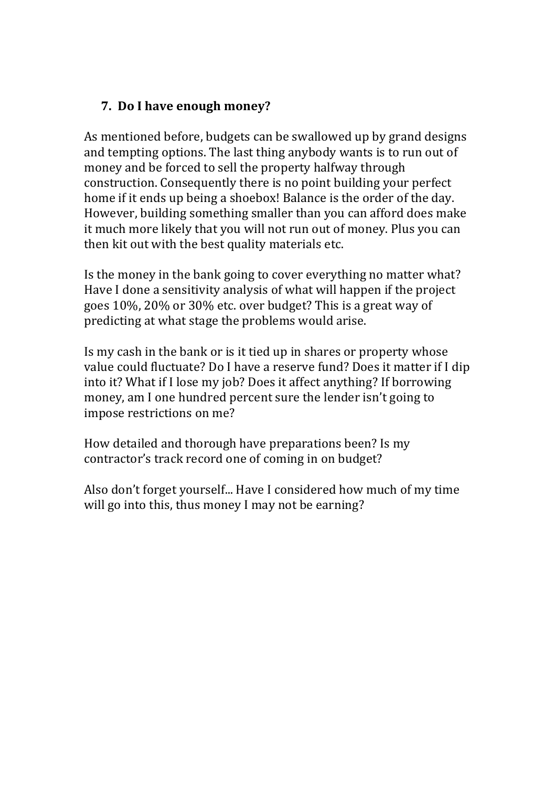### **7.** Do I have enough money?

As mentioned before, budgets can be swallowed up by grand designs and tempting options. The last thing anybody wants is to run out of money and be forced to sell the property halfway through construction. Consequently there is no point building your perfect home if it ends up being a shoebox! Balance is the order of the day. However, building something smaller than you can afford does make it much more likely that you will not run out of money. Plus you can then kit out with the best quality materials etc.

Is the money in the bank going to cover everything no matter what? Have I done a sensitivity analysis of what will happen if the project goes  $10\%$ ,  $20\%$  or  $30\%$  etc. over budget? This is a great way of predicting at what stage the problems would arise.

Is my cash in the bank or is it tied up in shares or property whose value could fluctuate? Do I have a reserve fund? Does it matter if I dip into it? What if I lose my job? Does it affect anything? If borrowing money, am I one hundred percent sure the lender isn't going to impose restrictions on me?

How detailed and thorough have preparations been? Is my contractor's track record one of coming in on budget?

Also don't forget yourself... Have I considered how much of my time will go into this, thus money I may not be earning?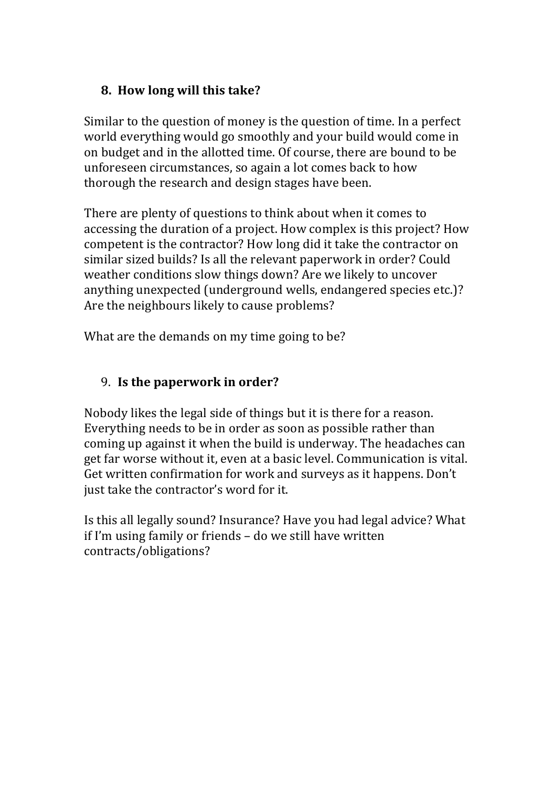## **8. How long will this take?**

Similar to the question of money is the question of time. In a perfect world everything would go smoothly and your build would come in on budget and in the allotted time. Of course, there are bound to be unforeseen circumstances, so again a lot comes back to how thorough the research and design stages have been.

There are plenty of questions to think about when it comes to accessing the duration of a project. How complex is this project? How competent is the contractor? How long did it take the contractor on similar sized builds? Is all the relevant paperwork in order? Could weather conditions slow things down? Are we likely to uncover anything unexpected (underground wells, endangered species etc.)? Are the neighbours likely to cause problems?

What are the demands on my time going to be?

### 9. **Is the paperwork in order?**

Nobody likes the legal side of things but it is there for a reason. Everything needs to be in order as soon as possible rather than coming up against it when the build is underway. The headaches can get far worse without it, even at a basic level. Communication is vital. Get written confirmation for work and surveys as it happens. Don't just take the contractor's word for it.

Is this all legally sound? Insurance? Have you had legal advice? What if I'm using family or friends  $-$  do we still have written contracts/obligations?